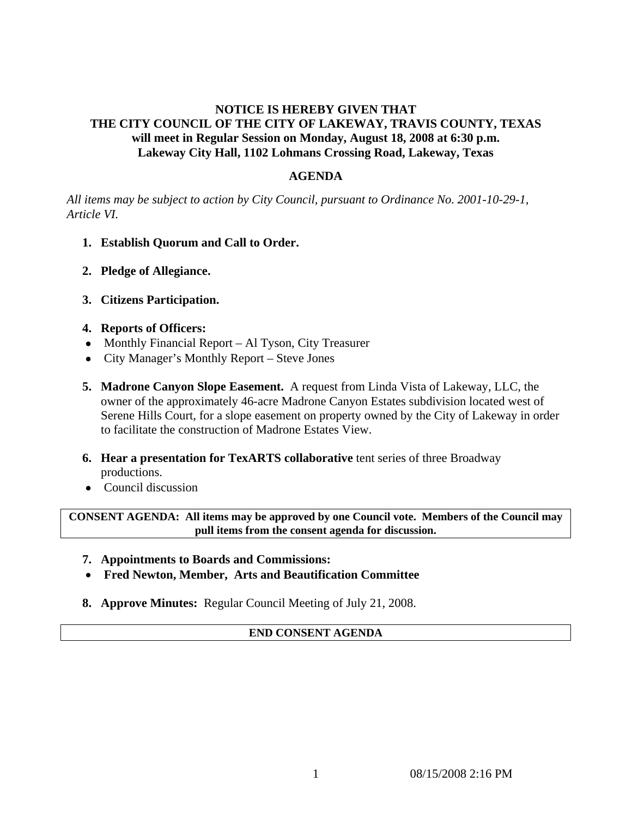## **NOTICE IS HEREBY GIVEN THAT THE CITY COUNCIL OF THE CITY OF LAKEWAY, TRAVIS COUNTY, TEXAS will meet in Regular Session on Monday, August 18, 2008 at 6:30 p.m. Lakeway City Hall, 1102 Lohmans Crossing Road, Lakeway, Texas**

## **AGENDA**

*All items may be subject to action by City Council, pursuant to Ordinance No. 2001-10-29-1, Article VI.* 

- **1. Establish Quorum and Call to Order.**
- **2. Pledge of Allegiance.**
- **3. Citizens Participation.**

## **4. Reports of Officers:**

- Monthly Financial Report Al Tyson, City Treasurer
- City Manager's Monthly Report Steve Jones
- **5. Madrone Canyon Slope Easement.** A request from Linda Vista of Lakeway, LLC, the owner of the approximately 46-acre Madrone Canyon Estates subdivision located west of Serene Hills Court, for a slope easement on property owned by the City of Lakeway in order to facilitate the construction of Madrone Estates View.
- **6. Hear a presentation for TexARTS collaborative tent series of three Broadway** productions.
- Council discussion

**CONSENT AGENDA: All items may be approved by one Council vote. Members of the Council may pull items from the consent agenda for discussion.** 

- **7. Appointments to Boards and Commissions:**
- **Fred Newton, Member, Arts and Beautification Committee**
- **8. Approve Minutes:** Regular Council Meeting of July 21, 2008.

## **END CONSENT AGENDA**